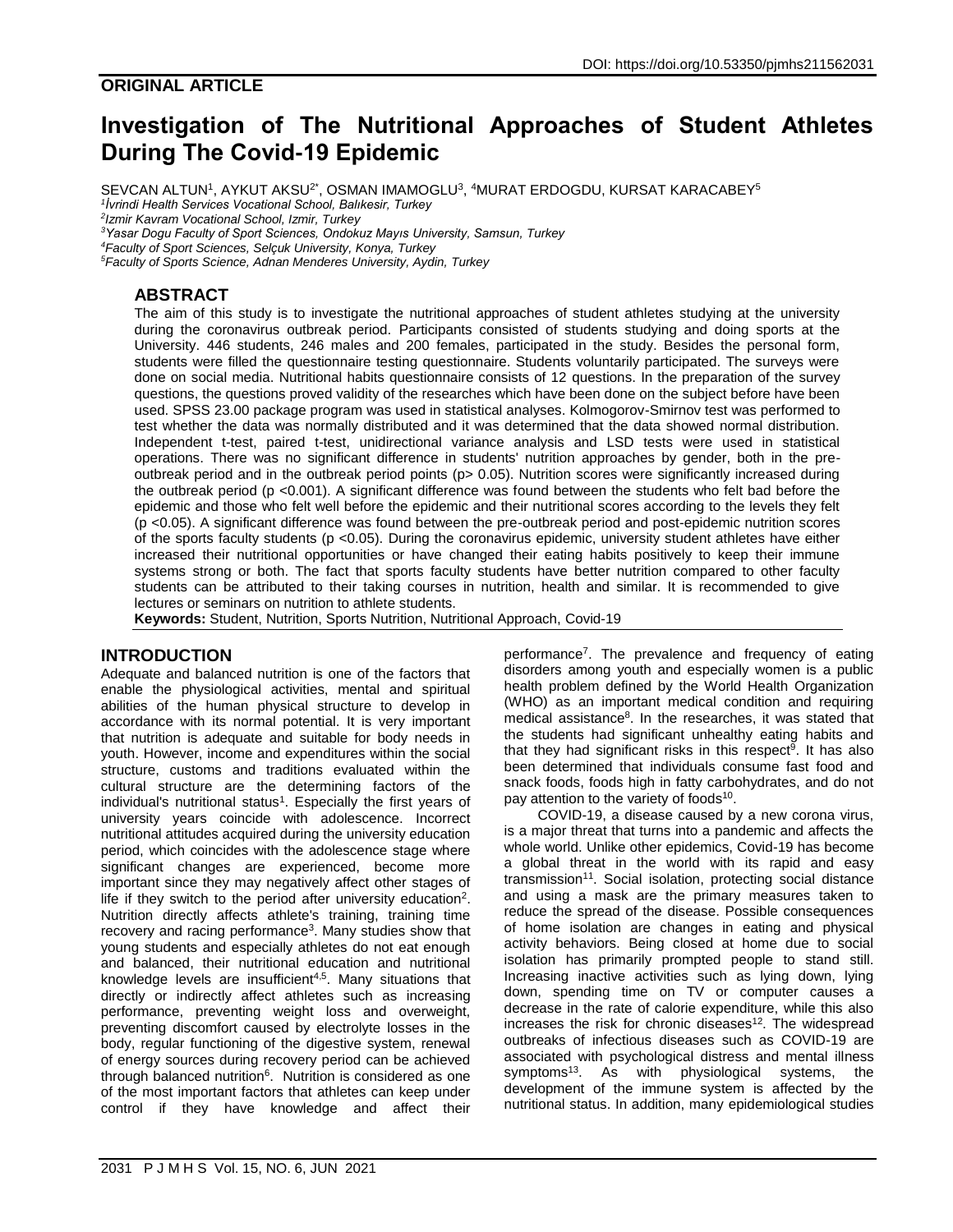# **Investigation of The Nutritional Approaches of Student Athletes During The Covid-19 Epidemic**

SEVCAN ALTUN<sup>1</sup>, AYKUT AKSU<sup>2\*</sup>, OSMAN IMAMOGLU<sup>3</sup>, <sup>4</sup>MURAT ERDOGDU, KURSAT KARACABEY<sup>5</sup> *1 İvrindi Health Services Vocational School, Balıkesir, Turkey*

*2 Izmir Kavram Vocational School, Izmir, Turkey*

*<sup>3</sup>Yasar Dogu Faculty of Sport Sciences, Ondokuz Mayıs University, Samsun, Turkey*

*<sup>4</sup>Faculty of Sport Sciences, Selçuk University, Konya, Turkey*

*<sup>5</sup>Faculty of Sports Science, Adnan Menderes University, Aydin, Turkey*

# **ABSTRACT**

The aim of this study is to investigate the nutritional approaches of student athletes studying at the university during the coronavirus outbreak period. Participants consisted of students studying and doing sports at the University. 446 students, 246 males and 200 females, participated in the study. Besides the personal form, students were filled the questionnaire testing questionnaire. Students voluntarily participated. The surveys were done on social media. Nutritional habits questionnaire consists of 12 questions. In the preparation of the survey questions, the questions proved validity of the researches which have been done on the subject before have been used. SPSS 23.00 package program was used in statistical analyses. Kolmogorov-Smirnov test was performed to test whether the data was normally distributed and it was determined that the data showed normal distribution. Independent t-test, paired t-test, unidirectional variance analysis and LSD tests were used in statistical operations. There was no significant difference in students' nutrition approaches by gender, both in the preoutbreak period and in the outbreak period points (p> 0.05). Nutrition scores were significantly increased during the outbreak period (p <0.001). A significant difference was found between the students who felt bad before the epidemic and those who felt well before the epidemic and their nutritional scores according to the levels they felt (p <0.05). A significant difference was found between the pre-outbreak period and post-epidemic nutrition scores of the sports faculty students (p <0.05). During the coronavirus epidemic, university student athletes have either increased their nutritional opportunities or have changed their eating habits positively to keep their immune systems strong or both. The fact that sports faculty students have better nutrition compared to other faculty students can be attributed to their taking courses in nutrition, health and similar. It is recommended to give lectures or seminars on nutrition to athlete students.

**Keywords:** Student, Nutrition, Sports Nutrition, Nutritional Approach, Covid-19

# **INTRODUCTION**

Adequate and balanced nutrition is one of the factors that enable the physiological activities, mental and spiritual abilities of the human physical structure to develop in accordance with its normal potential. It is very important that nutrition is adequate and suitable for body needs in youth. However, income and expenditures within the social structure, customs and traditions evaluated within the cultural structure are the determining factors of the individual's nutritional status<sup>1</sup>. Especially the first years of university years coincide with adolescence. Incorrect nutritional attitudes acquired during the university education period, which coincides with the adolescence stage where significant changes are experienced, become more important since they may negatively affect other stages of life if they switch to the period after university education<sup>2</sup>. Nutrition directly affects athlete's training, training time recovery and racing performance<sup>3</sup>. Many studies show that young students and especially athletes do not eat enough and balanced, their nutritional education and nutritional knowledge levels are insufficient $4,5$ . Many situations that directly or indirectly affect athletes such as increasing performance, preventing weight loss and overweight, preventing discomfort caused by electrolyte losses in the body, regular functioning of the digestive system, renewal of energy sources during recovery period can be achieved through balanced nutrition<sup>6</sup>. Nutrition is considered as one of the most important factors that athletes can keep under control if they have knowledge and affect their

performance<sup>7</sup> . The prevalence and frequency of eating disorders among youth and especially women is a public health problem defined by the World Health Organization (WHO) as an important medical condition and requiring medical assistance<sup>8</sup>. In the researches, it was stated that the students had significant unhealthy eating habits and that they had significant risks in this respect<sup>9</sup>. It has also been determined that individuals consume fast food and snack foods, foods high in fatty carbohydrates, and do not pay attention to the variety of foods<sup>10</sup>.

COVID-19, a disease caused by a new corona virus, is a major threat that turns into a pandemic and affects the whole world. Unlike other epidemics, Covid-19 has become a global threat in the world with its rapid and easy transmission<sup>11</sup>. Social isolation, protecting social distance and using a mask are the primary measures taken to reduce the spread of the disease. Possible consequences of home isolation are changes in eating and physical activity behaviors. Being closed at home due to social isolation has primarily prompted people to stand still. Increasing inactive activities such as lying down, lying down, spending time on TV or computer causes a decrease in the rate of calorie expenditure, while this also increases the risk for chronic diseases $12$ . The widespread outbreaks of infectious diseases such as COVID-19 are associated with psychological distress and mental illness symptoms<sup>13</sup>. As with physiological systems, the development of the immune system is affected by the nutritional status. In addition, many epidemiological studies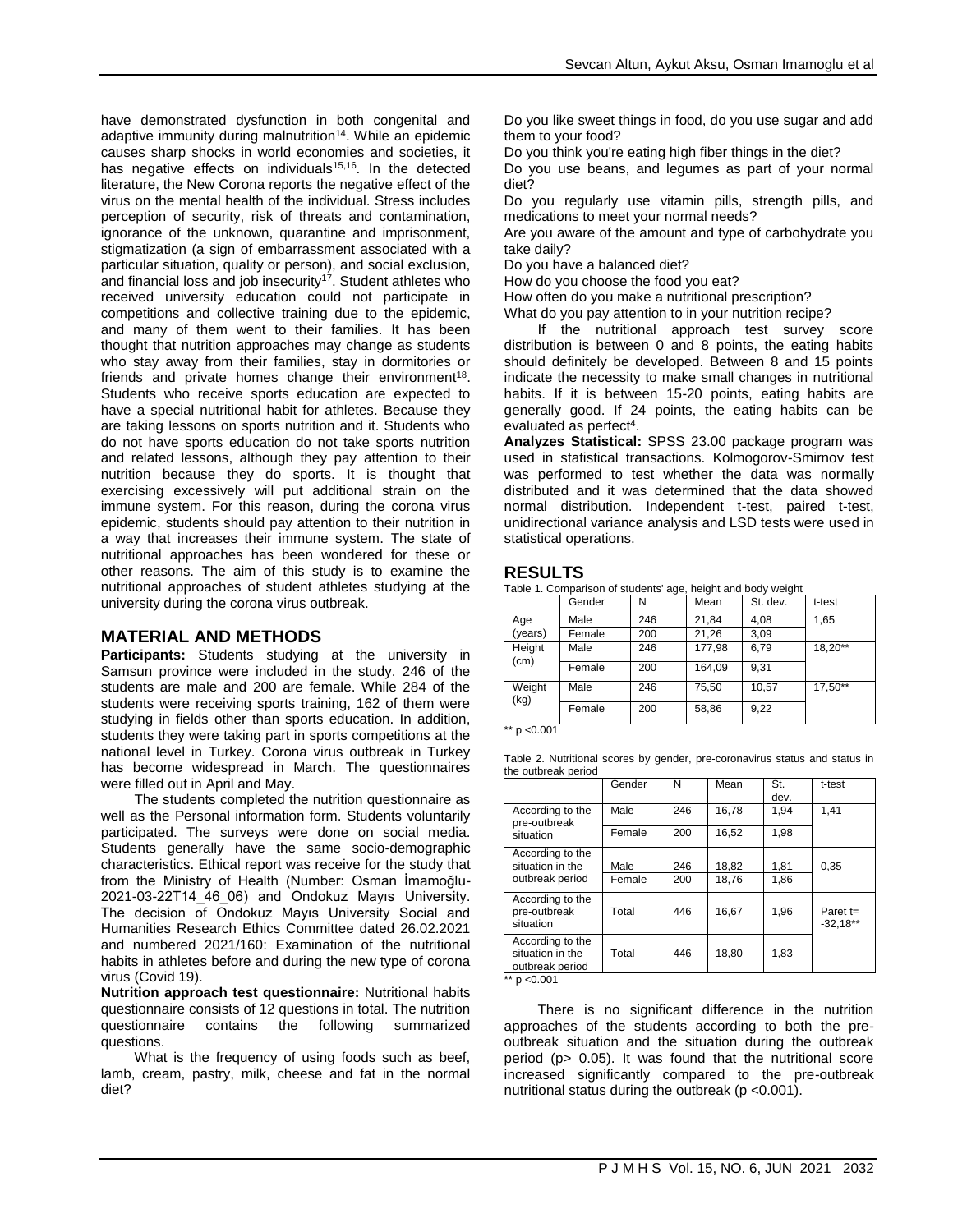have demonstrated dysfunction in both congenital and adaptive immunity during malnutrition<sup>14</sup>. While an epidemic causes sharp shocks in world economies and societies, it has negative effects on individuals $15,16$ . In the detected literature, the New Corona reports the negative effect of the virus on the mental health of the individual. Stress includes perception of security, risk of threats and contamination, ignorance of the unknown, quarantine and imprisonment, stigmatization (a sign of embarrassment associated with a particular situation, quality or person), and social exclusion, and financial loss and job insecurity<sup>17</sup>. Student athletes who received university education could not participate in competitions and collective training due to the epidemic, and many of them went to their families. It has been thought that nutrition approaches may change as students who stay away from their families, stay in dormitories or friends and private homes change their environment<sup>18</sup>. Students who receive sports education are expected to have a special nutritional habit for athletes. Because they are taking lessons on sports nutrition and it. Students who do not have sports education do not take sports nutrition and related lessons, although they pay attention to their nutrition because they do sports. It is thought that exercising excessively will put additional strain on the immune system. For this reason, during the corona virus epidemic, students should pay attention to their nutrition in a way that increases their immune system. The state of nutritional approaches has been wondered for these or other reasons. The aim of this study is to examine the nutritional approaches of student athletes studying at the university during the corona virus outbreak.

## **MATERIAL AND METHODS**

**Participants:** Students studying at the university in Samsun province were included in the study. 246 of the students are male and 200 are female. While 284 of the students were receiving sports training, 162 of them were studying in fields other than sports education. In addition, students they were taking part in sports competitions at the national level in Turkey. Corona virus outbreak in Turkey has become widespread in March. The questionnaires were filled out in April and May.

The students completed the nutrition questionnaire as well as the Personal information form. Students voluntarily participated. The surveys were done on social media. Students generally have the same socio-demographic characteristics. Ethical report was receive for the study that from the Ministry of Health (Number: Osman İmamoğlu-2021-03-22T14\_46\_06) and Ondokuz Mayıs University. The decision of Ondokuz Mayıs University Social and Humanities Research Ethics Committee dated 26.02.2021 and numbered 2021/160: Examination of the nutritional habits in athletes before and during the new type of corona virus (Covid 19).

**Nutrition approach test questionnaire:** Nutritional habits questionnaire consists of 12 questions in total. The nutrition questionnaire contains the following summarized questions.

What is the frequency of using foods such as beef, lamb, cream, pastry, milk, cheese and fat in the normal diet?

Do you like sweet things in food, do you use sugar and add them to your food?

Do you think you're eating high fiber things in the diet?

Do you use beans, and legumes as part of your normal diet?

Do you regularly use vitamin pills, strength pills, and medications to meet your normal needs?

Are you aware of the amount and type of carbohydrate you take daily?

Do you have a balanced diet?

How do you choose the food you eat?

How often do you make a nutritional prescription?

What do you pay attention to in your nutrition recipe?

If the nutritional approach test survey score distribution is between 0 and 8 points, the eating habits should definitely be developed. Between 8 and 15 points indicate the necessity to make small changes in nutritional habits. If it is between 15-20 points, eating habits are generally good. If 24 points, the eating habits can be evaluated as perfect<sup>4</sup>.

**Analyzes Statistical:** SPSS 23.00 package program was used in statistical transactions. Kolmogorov-Smirnov test was performed to test whether the data was normally distributed and it was determined that the data showed normal distribution. Independent t-test, paired t-test, unidirectional variance analysis and LSD tests were used in statistical operations.

#### **RESULTS**

Table 1. Comparison of students' age, height and body weight

|                | Gender | N   | Mean   | St. dev. | t-test  |  |
|----------------|--------|-----|--------|----------|---------|--|
| Age<br>(years) | Male   | 246 | 21,84  | 4,08     | 1,65    |  |
|                | Female | 200 | 21.26  | 3.09     |         |  |
| Height<br>(cm) | Male   | 246 | 177,98 | 6.79     | 18.20** |  |
|                | Female | 200 | 164.09 | 9.31     |         |  |
| Weight<br>(kg) | Male   | 246 | 75,50  | 10,57    | 17,50** |  |
|                | Female | 200 | 58.86  | 9.22     |         |  |

\*\* p <0.001

Table 2. Nutritional scores by gender, pre-coronavirus status and status in the outbreak period

|                                                         | Gender | N   | Mean  | St.<br>dev. | t-test                   |
|---------------------------------------------------------|--------|-----|-------|-------------|--------------------------|
| According to the<br>pre-outbreak                        | Male   | 246 | 16.78 | 1.94        | 1.41                     |
| situation                                               | Female | 200 | 16,52 | 1.98        |                          |
| According to the<br>situation in the                    | Male   | 246 | 18,82 | 1,81        | 0.35                     |
| outbreak period                                         | Female | 200 | 18.76 | 1.86        |                          |
| According to the<br>pre-outbreak<br>situation           | Total  | 446 | 16,67 | 1,96        | Paret $t=$<br>$-32.18**$ |
| According to the<br>situation in the<br>outbreak period | Total  | 446 | 18,80 | 1,83        |                          |

\*\*  $p < 0.001$ 

There is no significant difference in the nutrition approaches of the students according to both the preoutbreak situation and the situation during the outbreak period (p> 0.05). It was found that the nutritional score increased significantly compared to the pre-outbreak nutritional status during the outbreak (p <0.001).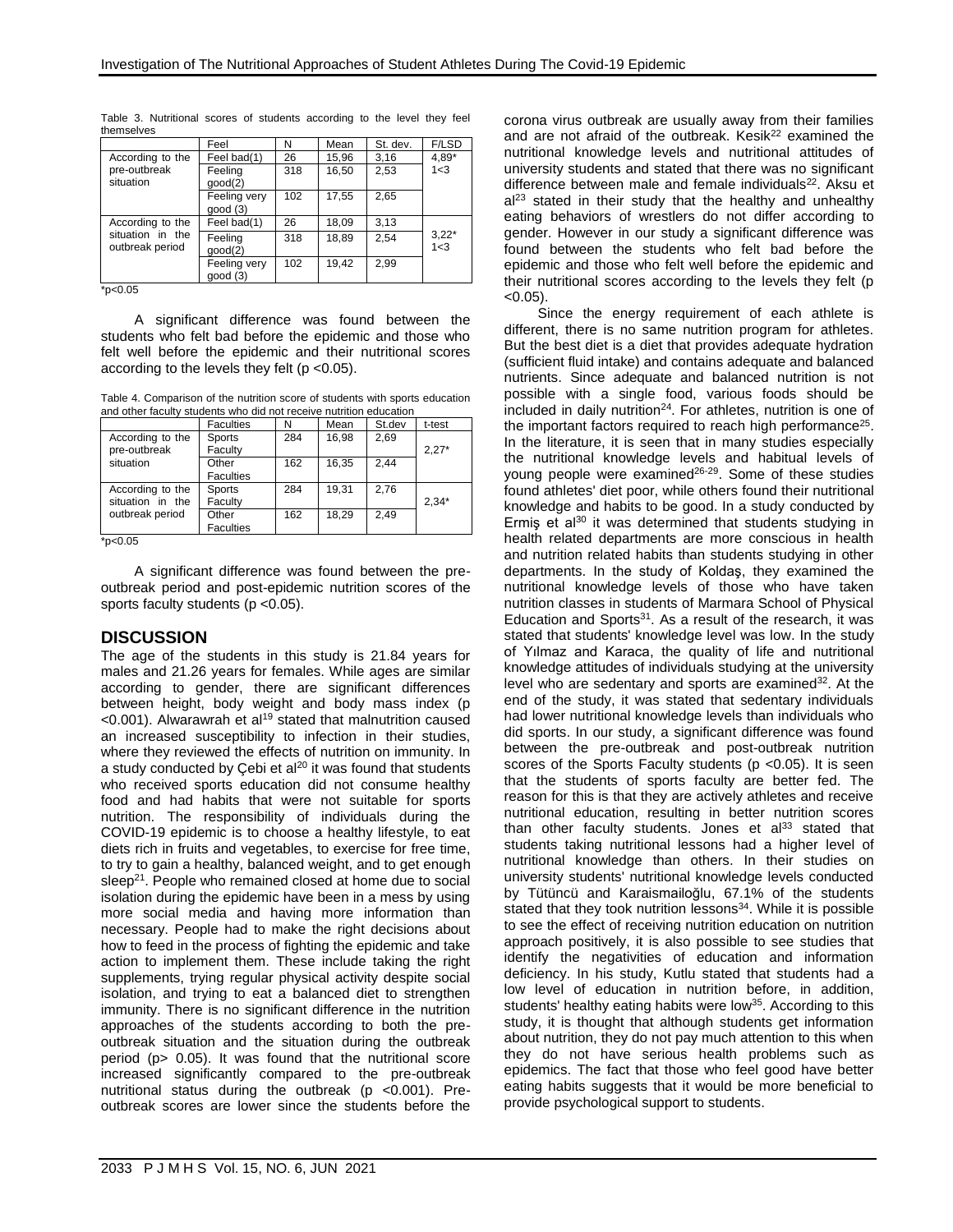|                                     | Feel                    | N   | Mean  | St. dev. | F/LSD              |
|-------------------------------------|-------------------------|-----|-------|----------|--------------------|
| According to the                    | Feel bad(1)             | 26  | 15,96 | 3.16     | $4.89*$            |
| pre-outbreak<br>situation           | Feeling<br>qood(2)      | 318 | 16,50 | 2,53     | 1<3                |
|                                     | Feeling very<br>qood(3) | 102 | 17,55 | 2.65     |                    |
| According to the                    | Feel bad(1)             | 26  | 18,09 | 3.13     | $3,22*$<br>$1 - 3$ |
| situation in the<br>outbreak period | Feeling<br>qood(2)      | 318 | 18.89 | 2.54     |                    |
|                                     | Feeling very<br>qood(3) | 102 | 19,42 | 2.99     |                    |

Table 3. Nutritional scores of students according to the level they feel themselves

 $*p<0.05$ 

A significant difference was found between the students who felt bad before the epidemic and those who felt well before the epidemic and their nutritional scores according to the levels they felt (p <0.05).

Table 4. Comparison of the nutrition score of students with sports education and other faculty students who did not receive nutrition education

|                                      | <b>Faculties</b>          | N   | Mean  | St.dev | t-test  |
|--------------------------------------|---------------------------|-----|-------|--------|---------|
| According to the<br>pre-outbreak     | Sports<br>Faculty         | 284 | 16.98 | 2.69   | $2.27*$ |
| situation                            | Other<br><b>Faculties</b> | 162 | 16.35 | 2,44   |         |
| According to the<br>situation in the | Sports<br>Faculty         | 284 | 19.31 | 2.76   | $2.34*$ |
| outbreak period                      | Other<br><b>Faculties</b> | 162 | 18.29 | 2.49   |         |

 $*p<0.05$ 

A significant difference was found between the preoutbreak period and post-epidemic nutrition scores of the sports faculty students (p < 0.05).

## **DISCUSSION**

The age of the students in this study is 21.84 years for males and 21.26 years for females. While ages are similar according to gender, there are significant differences between height, body weight and body mass index (p <0.001). Alwarawrah et al<sup>19</sup> stated that malnutrition caused an increased susceptibility to infection in their studies, where they reviewed the effects of nutrition on immunity. In a study conducted by Çebi et al $20$  it was found that students who received sports education did not consume healthy food and had habits that were not suitable for sports nutrition. The responsibility of individuals during the COVID-19 epidemic is to choose a healthy lifestyle, to eat diets rich in fruits and vegetables, to exercise for free time, to try to gain a healthy, balanced weight, and to get enough sleep<sup>21</sup>. People who remained closed at home due to social isolation during the epidemic have been in a mess by using more social media and having more information than necessary. People had to make the right decisions about how to feed in the process of fighting the epidemic and take action to implement them. These include taking the right supplements, trying regular physical activity despite social isolation, and trying to eat a balanced diet to strengthen immunity. There is no significant difference in the nutrition approaches of the students according to both the preoutbreak situation and the situation during the outbreak period (p> 0.05). It was found that the nutritional score increased significantly compared to the pre-outbreak nutritional status during the outbreak (p <0.001). Preoutbreak scores are lower since the students before the corona virus outbreak are usually away from their families and are not afraid of the outbreak. Kesik $22$  examined the nutritional knowledge levels and nutritional attitudes of university students and stated that there was no significant difference between male and female individuals<sup>22</sup>. Aksu et  $al<sup>23</sup>$  stated in their study that the healthy and unhealthy eating behaviors of wrestlers do not differ according to gender. However in our study a significant difference was found between the students who felt bad before the epidemic and those who felt well before the epidemic and their nutritional scores according to the levels they felt (p  $< 0.05$ ).

Since the energy requirement of each athlete is different, there is no same nutrition program for athletes. But the best diet is a diet that provides adequate hydration (sufficient fluid intake) and contains adequate and balanced nutrients. Since adequate and balanced nutrition is not possible with a single food, various foods should be included in daily nutrition<sup>24</sup>. For athletes, nutrition is one of the important factors required to reach high performance<sup>25</sup>. In the literature, it is seen that in many studies especially the nutritional knowledge levels and habitual levels of young people were examined26-29. Some of these studies found athletes' diet poor, while others found their nutritional knowledge and habits to be good. In a study conducted by Ermis et al $30$  it was determined that students studying in health related departments are more conscious in health and nutrition related habits than students studying in other departments. In the study of Koldaş, they examined the nutritional knowledge levels of those who have taken nutrition classes in students of Marmara School of Physical Education and Sports $31$ . As a result of the research, it was stated that students' knowledge level was low. In the study of Yılmaz and Karaca, the quality of life and nutritional knowledge attitudes of individuals studying at the university level who are sedentary and sports are examined<sup>32</sup>. At the end of the study, it was stated that sedentary individuals had lower nutritional knowledge levels than individuals who did sports. In our study, a significant difference was found between the pre-outbreak and post-outbreak nutrition scores of the Sports Faculty students (p < 0.05). It is seen that the students of sports faculty are better fed. The reason for this is that they are actively athletes and receive nutritional education, resulting in better nutrition scores than other faculty students. Jones et al<sup>33</sup> stated that students taking nutritional lessons had a higher level of nutritional knowledge than others. In their studies on university students' nutritional knowledge levels conducted by Tütüncü and Karaismailoğlu, 67.1% of the students stated that they took nutrition  $l$ essons $34$ . While it is possible to see the effect of receiving nutrition education on nutrition approach positively, it is also possible to see studies that identify the negativities of education and information deficiency. In his study, Kutlu stated that students had a low level of education in nutrition before, in addition, students' healthy eating habits were low<sup>35</sup>. According to this study, it is thought that although students get information about nutrition, they do not pay much attention to this when they do not have serious health problems such as epidemics. The fact that those who feel good have better eating habits suggests that it would be more beneficial to provide psychological support to students.